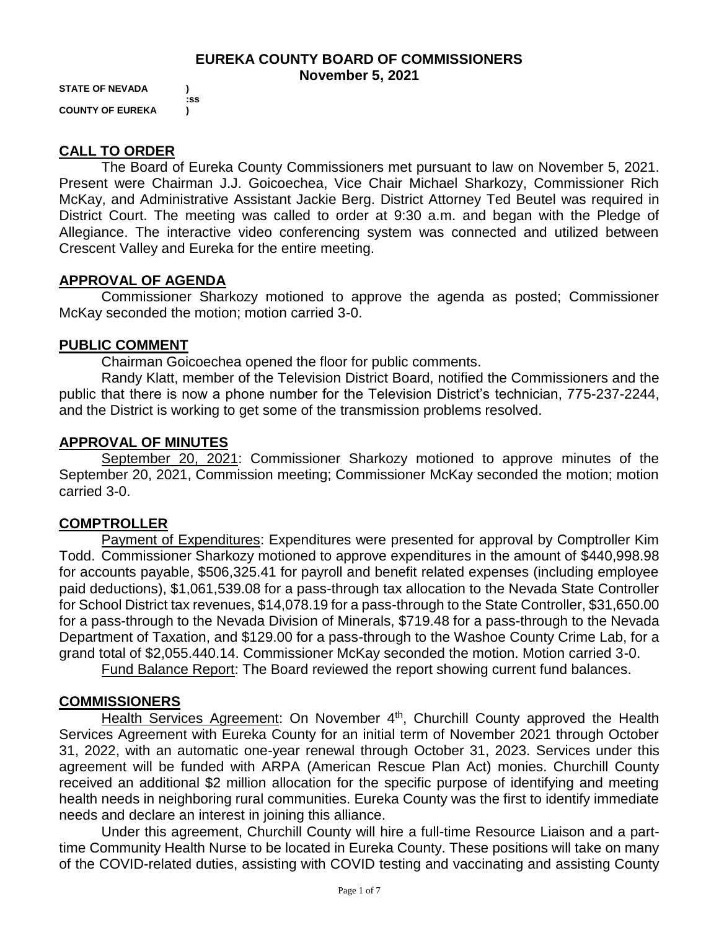#### **EUREKA COUNTY BOARD OF COMMISSIONERS November 5, 2021**

**STATE OF NEVADA ) :ss COUNTY OF EUREKA )**

## **CALL TO ORDER**

The Board of Eureka County Commissioners met pursuant to law on November 5, 2021. Present were Chairman J.J. Goicoechea, Vice Chair Michael Sharkozy, Commissioner Rich McKay, and Administrative Assistant Jackie Berg. District Attorney Ted Beutel was required in District Court. The meeting was called to order at 9:30 a.m. and began with the Pledge of Allegiance. The interactive video conferencing system was connected and utilized between Crescent Valley and Eureka for the entire meeting.

### **APPROVAL OF AGENDA**

Commissioner Sharkozy motioned to approve the agenda as posted; Commissioner McKay seconded the motion; motion carried 3-0.

### **PUBLIC COMMENT**

Chairman Goicoechea opened the floor for public comments.

Randy Klatt, member of the Television District Board, notified the Commissioners and the public that there is now a phone number for the Television District's technician, 775-237-2244, and the District is working to get some of the transmission problems resolved.

### **APPROVAL OF MINUTES**

September 20, 2021: Commissioner Sharkozy motioned to approve minutes of the September 20, 2021, Commission meeting; Commissioner McKay seconded the motion; motion carried 3-0.

### **COMPTROLLER**

Payment of Expenditures: Expenditures were presented for approval by Comptroller Kim Todd. Commissioner Sharkozy motioned to approve expenditures in the amount of \$440,998.98 for accounts payable, \$506,325.41 for payroll and benefit related expenses (including employee paid deductions), \$1,061,539.08 for a pass-through tax allocation to the Nevada State Controller for School District tax revenues, \$14,078.19 for a pass-through to the State Controller, \$31,650.00 for a pass-through to the Nevada Division of Minerals, \$719.48 for a pass-through to the Nevada Department of Taxation, and \$129.00 for a pass-through to the Washoe County Crime Lab, for a grand total of \$2,055.440.14. Commissioner McKay seconded the motion. Motion carried 3-0.

Fund Balance Report: The Board reviewed the report showing current fund balances.

### **COMMISSIONERS**

Health Services Agreement: On November 4<sup>th</sup>, Churchill County approved the Health Services Agreement with Eureka County for an initial term of November 2021 through October 31, 2022, with an automatic one-year renewal through October 31, 2023. Services under this agreement will be funded with ARPA (American Rescue Plan Act) monies. Churchill County received an additional \$2 million allocation for the specific purpose of identifying and meeting health needs in neighboring rural communities. Eureka County was the first to identify immediate needs and declare an interest in joining this alliance.

Under this agreement, Churchill County will hire a full-time Resource Liaison and a parttime Community Health Nurse to be located in Eureka County. These positions will take on many of the COVID-related duties, assisting with COVID testing and vaccinating and assisting County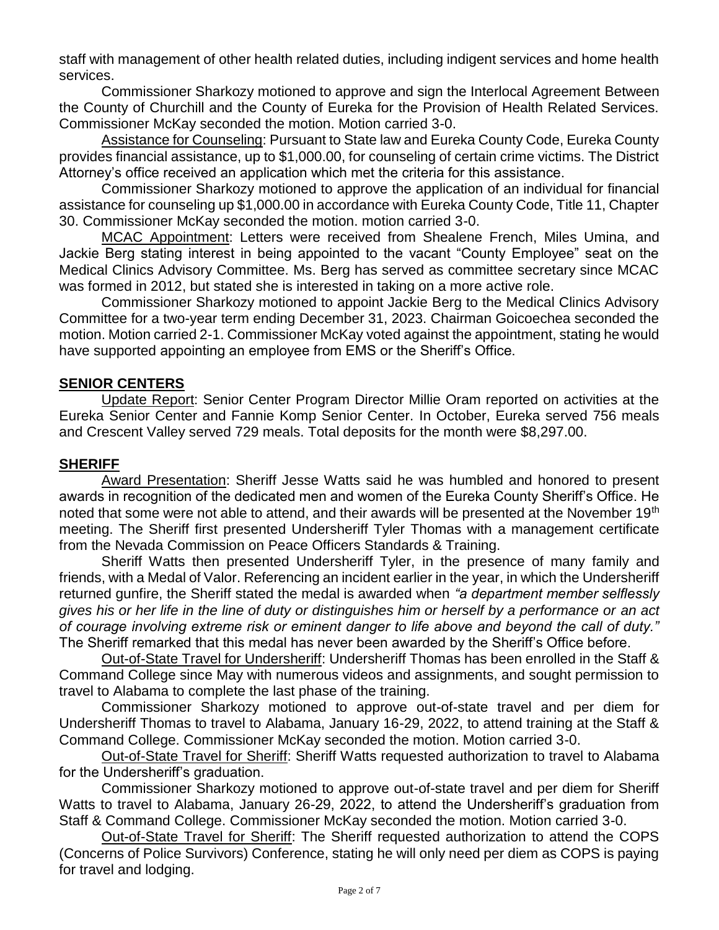staff with management of other health related duties, including indigent services and home health services.

Commissioner Sharkozy motioned to approve and sign the Interlocal Agreement Between the County of Churchill and the County of Eureka for the Provision of Health Related Services. Commissioner McKay seconded the motion. Motion carried 3-0.

Assistance for Counseling: Pursuant to State law and Eureka County Code, Eureka County provides financial assistance, up to \$1,000.00, for counseling of certain crime victims. The District Attorney's office received an application which met the criteria for this assistance.

Commissioner Sharkozy motioned to approve the application of an individual for financial assistance for counseling up \$1,000.00 in accordance with Eureka County Code, Title 11, Chapter 30. Commissioner McKay seconded the motion. motion carried 3-0.

MCAC Appointment: Letters were received from Shealene French, Miles Umina, and Jackie Berg stating interest in being appointed to the vacant "County Employee" seat on the Medical Clinics Advisory Committee. Ms. Berg has served as committee secretary since MCAC was formed in 2012, but stated she is interested in taking on a more active role.

Commissioner Sharkozy motioned to appoint Jackie Berg to the Medical Clinics Advisory Committee for a two-year term ending December 31, 2023. Chairman Goicoechea seconded the motion. Motion carried 2-1. Commissioner McKay voted against the appointment, stating he would have supported appointing an employee from EMS or the Sheriff's Office.

### **SENIOR CENTERS**

Update Report: Senior Center Program Director Millie Oram reported on activities at the Eureka Senior Center and Fannie Komp Senior Center. In October, Eureka served 756 meals and Crescent Valley served 729 meals. Total deposits for the month were \$8,297.00.

### **SHERIFF**

Award Presentation: Sheriff Jesse Watts said he was humbled and honored to present awards in recognition of the dedicated men and women of the Eureka County Sheriff's Office. He noted that some were not able to attend, and their awards will be presented at the November 19<sup>th</sup> meeting. The Sheriff first presented Undersheriff Tyler Thomas with a management certificate from the Nevada Commission on Peace Officers Standards & Training.

Sheriff Watts then presented Undersheriff Tyler, in the presence of many family and friends, with a Medal of Valor. Referencing an incident earlier in the year, in which the Undersheriff returned gunfire, the Sheriff stated the medal is awarded when *"a department member selflessly gives his or her life in the line of duty or distinguishes him or herself by a performance or an act of courage involving extreme risk or eminent danger to life above and beyond the call of duty."*  The Sheriff remarked that this medal has never been awarded by the Sheriff's Office before.

Out-of-State Travel for Undersheriff: Undersheriff Thomas has been enrolled in the Staff & Command College since May with numerous videos and assignments, and sought permission to travel to Alabama to complete the last phase of the training.

Commissioner Sharkozy motioned to approve out-of-state travel and per diem for Undersheriff Thomas to travel to Alabama, January 16-29, 2022, to attend training at the Staff & Command College. Commissioner McKay seconded the motion. Motion carried 3-0.

Out-of-State Travel for Sheriff: Sheriff Watts requested authorization to travel to Alabama for the Undersheriff's graduation.

Commissioner Sharkozy motioned to approve out-of-state travel and per diem for Sheriff Watts to travel to Alabama, January 26-29, 2022, to attend the Undersheriff's graduation from Staff & Command College. Commissioner McKay seconded the motion. Motion carried 3-0.

Out-of-State Travel for Sheriff: The Sheriff requested authorization to attend the COPS (Concerns of Police Survivors) Conference, stating he will only need per diem as COPS is paying for travel and lodging.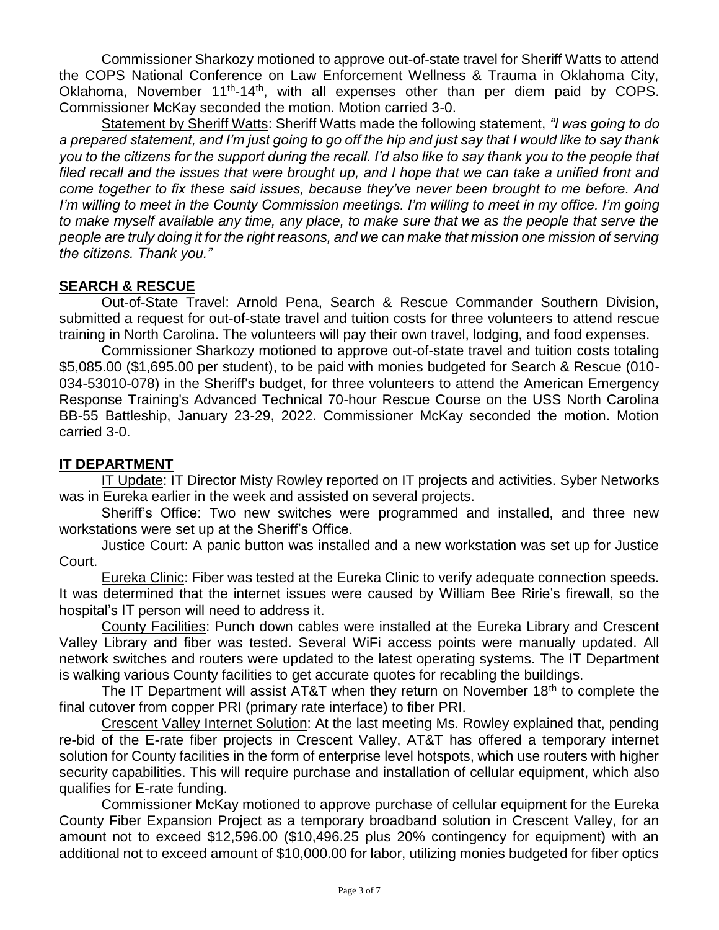Commissioner Sharkozy motioned to approve out-of-state travel for Sheriff Watts to attend the COPS National Conference on Law Enforcement Wellness & Trauma in Oklahoma City, Oklahoma, November 11<sup>th</sup>-14<sup>th</sup>, with all expenses other than per diem paid by COPS. Commissioner McKay seconded the motion. Motion carried 3-0.

Statement by Sheriff Watts: Sheriff Watts made the following statement, *"I was going to do a prepared statement, and I'm just going to go off the hip and just say that I would like to say thank you to the citizens for the support during the recall. I'd also like to say thank you to the people that filed recall and the issues that were brought up, and I hope that we can take a unified front and come together to fix these said issues, because they've never been brought to me before. And I'm willing to meet in the County Commission meetings. I'm willing to meet in my office. I'm going to make myself available any time, any place, to make sure that we as the people that serve the people are truly doing it for the right reasons, and we can make that mission one mission of serving the citizens. Thank you."* 

# **SEARCH & RESCUE**

Out-of-State Travel: Arnold Pena, Search & Rescue Commander Southern Division, submitted a request for out-of-state travel and tuition costs for three volunteers to attend rescue training in North Carolina. The volunteers will pay their own travel, lodging, and food expenses.

Commissioner Sharkozy motioned to approve out-of-state travel and tuition costs totaling \$5,085.00 (\$1,695.00 per student), to be paid with monies budgeted for Search & Rescue (010- 034-53010-078) in the Sheriff's budget, for three volunteers to attend the American Emergency Response Training's Advanced Technical 70-hour Rescue Course on the USS North Carolina BB-55 Battleship, January 23-29, 2022. Commissioner McKay seconded the motion. Motion carried 3-0.

## **IT DEPARTMENT**

IT Update: IT Director Misty Rowley reported on IT projects and activities. Syber Networks was in Eureka earlier in the week and assisted on several projects.

Sheriff's Office: Two new switches were programmed and installed, and three new workstations were set up at the Sheriff's Office.

Justice Court: A panic button was installed and a new workstation was set up for Justice Court.

Eureka Clinic: Fiber was tested at the Eureka Clinic to verify adequate connection speeds. It was determined that the internet issues were caused by William Bee Ririe's firewall, so the hospital's IT person will need to address it.

County Facilities: Punch down cables were installed at the Eureka Library and Crescent Valley Library and fiber was tested. Several WiFi access points were manually updated. All network switches and routers were updated to the latest operating systems. The IT Department is walking various County facilities to get accurate quotes for recabling the buildings.

The IT Department will assist AT&T when they return on November  $18<sup>th</sup>$  to complete the final cutover from copper PRI (primary rate interface) to fiber PRI.

Crescent Valley Internet Solution: At the last meeting Ms. Rowley explained that, pending re-bid of the E-rate fiber projects in Crescent Valley, AT&T has offered a temporary internet solution for County facilities in the form of enterprise level hotspots, which use routers with higher security capabilities. This will require purchase and installation of cellular equipment, which also qualifies for E-rate funding.

Commissioner McKay motioned to approve purchase of cellular equipment for the Eureka County Fiber Expansion Project as a temporary broadband solution in Crescent Valley, for an amount not to exceed \$12,596.00 (\$10,496.25 plus 20% contingency for equipment) with an additional not to exceed amount of \$10,000.00 for labor, utilizing monies budgeted for fiber optics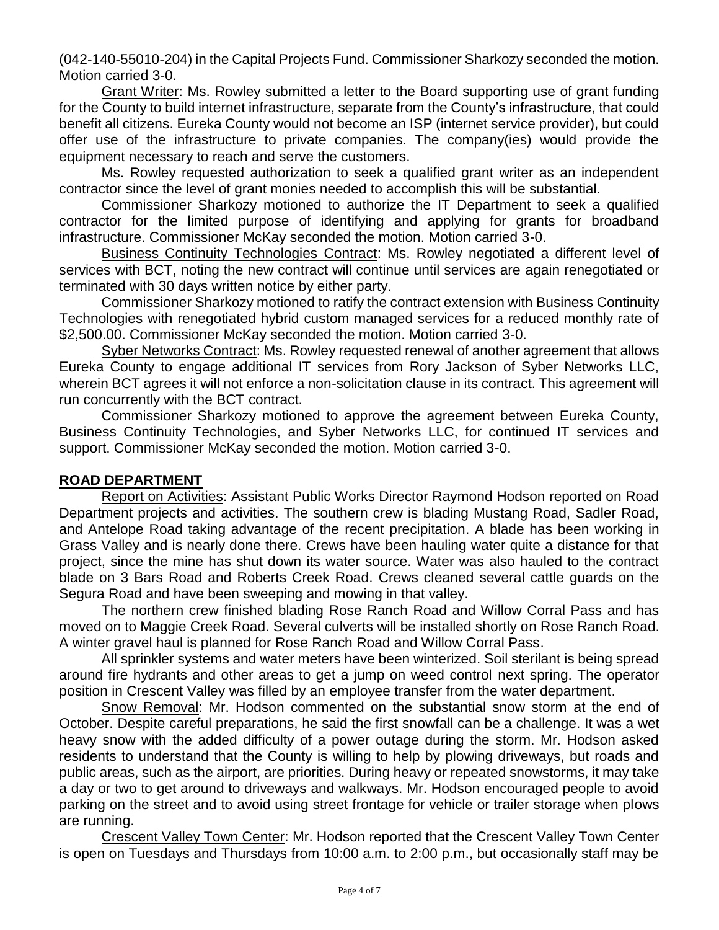(042-140-55010-204) in the Capital Projects Fund. Commissioner Sharkozy seconded the motion. Motion carried 3-0.

Grant Writer: Ms. Rowley submitted a letter to the Board supporting use of grant funding for the County to build internet infrastructure, separate from the County's infrastructure, that could benefit all citizens. Eureka County would not become an ISP (internet service provider), but could offer use of the infrastructure to private companies. The company(ies) would provide the equipment necessary to reach and serve the customers.

Ms. Rowley requested authorization to seek a qualified grant writer as an independent contractor since the level of grant monies needed to accomplish this will be substantial.

Commissioner Sharkozy motioned to authorize the IT Department to seek a qualified contractor for the limited purpose of identifying and applying for grants for broadband infrastructure. Commissioner McKay seconded the motion. Motion carried 3-0.

Business Continuity Technologies Contract: Ms. Rowley negotiated a different level of services with BCT, noting the new contract will continue until services are again renegotiated or terminated with 30 days written notice by either party.

Commissioner Sharkozy motioned to ratify the contract extension with Business Continuity Technologies with renegotiated hybrid custom managed services for a reduced monthly rate of \$2,500.00. Commissioner McKay seconded the motion. Motion carried 3-0.

Syber Networks Contract: Ms. Rowley requested renewal of another agreement that allows Eureka County to engage additional IT services from Rory Jackson of Syber Networks LLC, wherein BCT agrees it will not enforce a non-solicitation clause in its contract. This agreement will run concurrently with the BCT contract.

Commissioner Sharkozy motioned to approve the agreement between Eureka County, Business Continuity Technologies, and Syber Networks LLC, for continued IT services and support. Commissioner McKay seconded the motion. Motion carried 3-0.

### **ROAD DEPARTMENT**

Report on Activities: Assistant Public Works Director Raymond Hodson reported on Road Department projects and activities. The southern crew is blading Mustang Road, Sadler Road, and Antelope Road taking advantage of the recent precipitation. A blade has been working in Grass Valley and is nearly done there. Crews have been hauling water quite a distance for that project, since the mine has shut down its water source. Water was also hauled to the contract blade on 3 Bars Road and Roberts Creek Road. Crews cleaned several cattle guards on the Segura Road and have been sweeping and mowing in that valley.

The northern crew finished blading Rose Ranch Road and Willow Corral Pass and has moved on to Maggie Creek Road. Several culverts will be installed shortly on Rose Ranch Road. A winter gravel haul is planned for Rose Ranch Road and Willow Corral Pass.

All sprinkler systems and water meters have been winterized. Soil sterilant is being spread around fire hydrants and other areas to get a jump on weed control next spring. The operator position in Crescent Valley was filled by an employee transfer from the water department.

Snow Removal: Mr. Hodson commented on the substantial snow storm at the end of October. Despite careful preparations, he said the first snowfall can be a challenge. It was a wet heavy snow with the added difficulty of a power outage during the storm. Mr. Hodson asked residents to understand that the County is willing to help by plowing driveways, but roads and public areas, such as the airport, are priorities. During heavy or repeated snowstorms, it may take a day or two to get around to driveways and walkways. Mr. Hodson encouraged people to avoid parking on the street and to avoid using street frontage for vehicle or trailer storage when plows are running.

Crescent Valley Town Center: Mr. Hodson reported that the Crescent Valley Town Center is open on Tuesdays and Thursdays from 10:00 a.m. to 2:00 p.m., but occasionally staff may be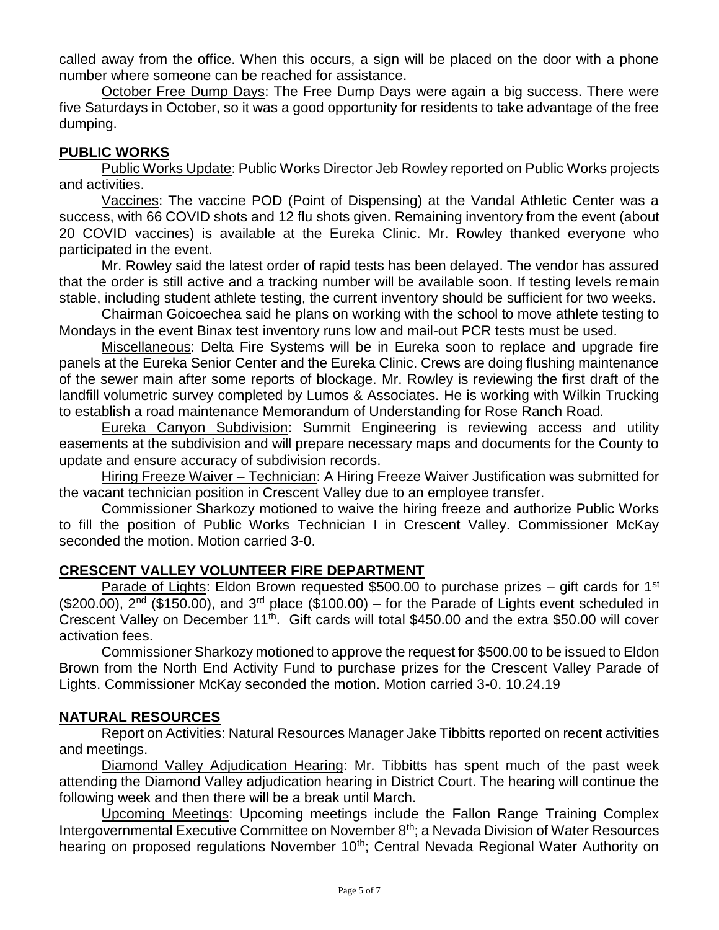called away from the office. When this occurs, a sign will be placed on the door with a phone number where someone can be reached for assistance.

October Free Dump Days: The Free Dump Days were again a big success. There were five Saturdays in October, so it was a good opportunity for residents to take advantage of the free dumping.

### **PUBLIC WORKS**

Public Works Update: Public Works Director Jeb Rowley reported on Public Works projects and activities.

Vaccines: The vaccine POD (Point of Dispensing) at the Vandal Athletic Center was a success, with 66 COVID shots and 12 flu shots given. Remaining inventory from the event (about 20 COVID vaccines) is available at the Eureka Clinic. Mr. Rowley thanked everyone who participated in the event.

Mr. Rowley said the latest order of rapid tests has been delayed. The vendor has assured that the order is still active and a tracking number will be available soon. If testing levels remain stable, including student athlete testing, the current inventory should be sufficient for two weeks.

Chairman Goicoechea said he plans on working with the school to move athlete testing to Mondays in the event Binax test inventory runs low and mail-out PCR tests must be used.

Miscellaneous: Delta Fire Systems will be in Eureka soon to replace and upgrade fire panels at the Eureka Senior Center and the Eureka Clinic. Crews are doing flushing maintenance of the sewer main after some reports of blockage. Mr. Rowley is reviewing the first draft of the landfill volumetric survey completed by Lumos & Associates. He is working with Wilkin Trucking to establish a road maintenance Memorandum of Understanding for Rose Ranch Road.

Eureka Canyon Subdivision: Summit Engineering is reviewing access and utility easements at the subdivision and will prepare necessary maps and documents for the County to update and ensure accuracy of subdivision records.

Hiring Freeze Waiver – Technician: A Hiring Freeze Waiver Justification was submitted for the vacant technician position in Crescent Valley due to an employee transfer.

Commissioner Sharkozy motioned to waive the hiring freeze and authorize Public Works to fill the position of Public Works Technician I in Crescent Valley. Commissioner McKay seconded the motion. Motion carried 3-0.

### **CRESCENT VALLEY VOLUNTEER FIRE DEPARTMENT**

Parade of Lights: Eldon Brown requested \$500.00 to purchase prizes – gift cards for 1<sup>st</sup>  $($200.00)$ ,  $2<sup>nd</sup> ($150.00)$ , and  $3<sup>rd</sup>$  place (\$100.00) – for the Parade of Lights event scheduled in Crescent Valley on December 11<sup>th</sup>. Gift cards will total \$450.00 and the extra \$50.00 will cover activation fees.

Commissioner Sharkozy motioned to approve the request for \$500.00 to be issued to Eldon Brown from the North End Activity Fund to purchase prizes for the Crescent Valley Parade of Lights. Commissioner McKay seconded the motion. Motion carried 3-0. 10.24.19

### **NATURAL RESOURCES**

Report on Activities: Natural Resources Manager Jake Tibbitts reported on recent activities and meetings.

Diamond Valley Adjudication Hearing: Mr. Tibbitts has spent much of the past week attending the Diamond Valley adjudication hearing in District Court. The hearing will continue the following week and then there will be a break until March.

Upcoming Meetings: Upcoming meetings include the Fallon Range Training Complex Intergovernmental Executive Committee on November 8<sup>th</sup>; a Nevada Division of Water Resources hearing on proposed regulations November 10<sup>th</sup>; Central Nevada Regional Water Authority on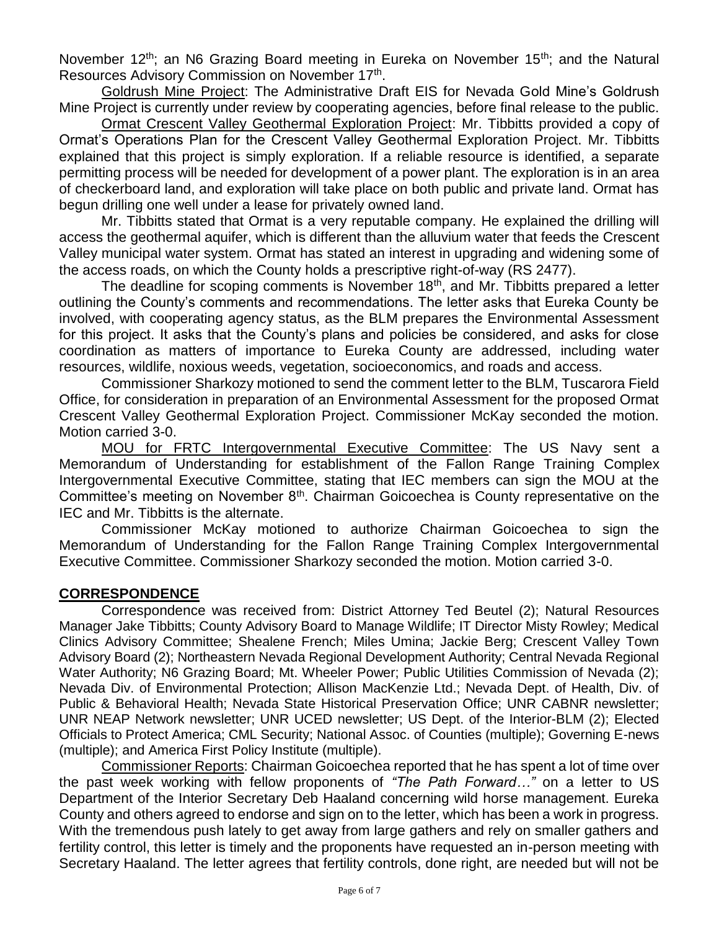November 12<sup>th</sup>; an N6 Grazing Board meeting in Eureka on November 15<sup>th</sup>; and the Natural Resources Advisory Commission on November 17<sup>th</sup>.

Goldrush Mine Project: The Administrative Draft EIS for Nevada Gold Mine's Goldrush Mine Project is currently under review by cooperating agencies, before final release to the public.

Ormat Crescent Valley Geothermal Exploration Project: Mr. Tibbitts provided a copy of Ormat's Operations Plan for the Crescent Valley Geothermal Exploration Project. Mr. Tibbitts explained that this project is simply exploration. If a reliable resource is identified, a separate permitting process will be needed for development of a power plant. The exploration is in an area of checkerboard land, and exploration will take place on both public and private land. Ormat has begun drilling one well under a lease for privately owned land.

Mr. Tibbitts stated that Ormat is a very reputable company. He explained the drilling will access the geothermal aquifer, which is different than the alluvium water that feeds the Crescent Valley municipal water system. Ormat has stated an interest in upgrading and widening some of the access roads, on which the County holds a prescriptive right-of-way (RS 2477).

The deadline for scoping comments is November 18<sup>th</sup>, and Mr. Tibbitts prepared a letter outlining the County's comments and recommendations. The letter asks that Eureka County be involved, with cooperating agency status, as the BLM prepares the Environmental Assessment for this project. It asks that the County's plans and policies be considered, and asks for close coordination as matters of importance to Eureka County are addressed, including water resources, wildlife, noxious weeds, vegetation, socioeconomics, and roads and access.

Commissioner Sharkozy motioned to send the comment letter to the BLM, Tuscarora Field Office, for consideration in preparation of an Environmental Assessment for the proposed Ormat Crescent Valley Geothermal Exploration Project. Commissioner McKay seconded the motion. Motion carried 3-0.

MOU for FRTC Intergovernmental Executive Committee: The US Navy sent a Memorandum of Understanding for establishment of the Fallon Range Training Complex Intergovernmental Executive Committee, stating that IEC members can sign the MOU at the Committee's meeting on November 8<sup>th</sup>. Chairman Goicoechea is County representative on the IEC and Mr. Tibbitts is the alternate.

Commissioner McKay motioned to authorize Chairman Goicoechea to sign the Memorandum of Understanding for the Fallon Range Training Complex Intergovernmental Executive Committee. Commissioner Sharkozy seconded the motion. Motion carried 3-0.

### **CORRESPONDENCE**

Correspondence was received from: District Attorney Ted Beutel (2); Natural Resources Manager Jake Tibbitts; County Advisory Board to Manage Wildlife; IT Director Misty Rowley; Medical Clinics Advisory Committee; Shealene French; Miles Umina; Jackie Berg; Crescent Valley Town Advisory Board (2); Northeastern Nevada Regional Development Authority; Central Nevada Regional Water Authority; N6 Grazing Board; Mt. Wheeler Power; Public Utilities Commission of Nevada (2); Nevada Div. of Environmental Protection; Allison MacKenzie Ltd.; Nevada Dept. of Health, Div. of Public & Behavioral Health; Nevada State Historical Preservation Office; UNR CABNR newsletter; UNR NEAP Network newsletter; UNR UCED newsletter; US Dept. of the Interior-BLM (2); Elected Officials to Protect America; CML Security; National Assoc. of Counties (multiple); Governing E-news (multiple); and America First Policy Institute (multiple).

Commissioner Reports: Chairman Goicoechea reported that he has spent a lot of time over the past week working with fellow proponents of *"The Path Forward…"* on a letter to US Department of the Interior Secretary Deb Haaland concerning wild horse management. Eureka County and others agreed to endorse and sign on to the letter, which has been a work in progress. With the tremendous push lately to get away from large gathers and rely on smaller gathers and fertility control, this letter is timely and the proponents have requested an in-person meeting with Secretary Haaland. The letter agrees that fertility controls, done right, are needed but will not be